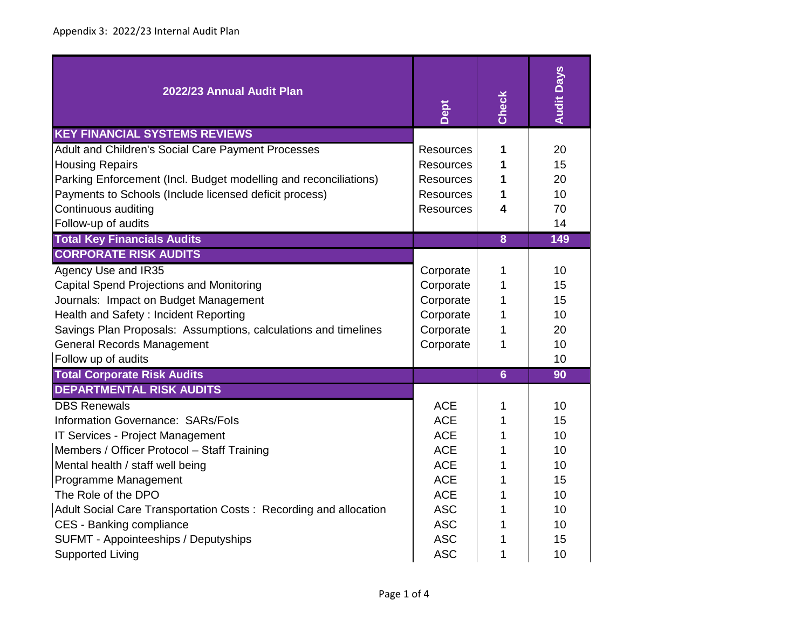| 2022/23 Annual Audit Plan                                                                                                                                                                                                                                                                                                                                              | Dept                                                                                                                                     | Check                                     | <b>Audit Days</b>                                        |
|------------------------------------------------------------------------------------------------------------------------------------------------------------------------------------------------------------------------------------------------------------------------------------------------------------------------------------------------------------------------|------------------------------------------------------------------------------------------------------------------------------------------|-------------------------------------------|----------------------------------------------------------|
| <b>KEY FINANCIAL SYSTEMS REVIEWS</b><br>Adult and Children's Social Care Payment Processes<br><b>Housing Repairs</b><br>Parking Enforcement (Incl. Budget modelling and reconciliations)<br>Payments to Schools (Include licensed deficit process)<br>Continuous auditing<br>Follow-up of audits                                                                       | <b>Resources</b><br>Resources<br><b>Resources</b><br><b>Resources</b><br><b>Resources</b>                                                | 1<br>1<br>1<br>1<br>4                     | 20<br>15<br>20<br>10<br>70<br>14                         |
| <b>Total Key Financials Audits</b>                                                                                                                                                                                                                                                                                                                                     |                                                                                                                                          | $\overline{\mathbf{8}}$                   | 149                                                      |
| <b>CORPORATE RISK AUDITS</b><br>Agency Use and IR35<br>Capital Spend Projections and Monitoring<br>Journals: Impact on Budget Management<br>Health and Safety: Incident Reporting<br>Savings Plan Proposals: Assumptions, calculations and timelines<br><b>General Records Management</b><br>Follow up of audits                                                       | Corporate<br>Corporate<br>Corporate<br>Corporate<br>Corporate<br>Corporate                                                               | 1<br>1<br>1<br>1<br>1<br>1                | 10<br>15<br>15<br>10<br>20<br>10<br>10                   |
| <b>Total Corporate Risk Audits</b><br><b>DEPARTMENTAL RISK AUDITS</b>                                                                                                                                                                                                                                                                                                  |                                                                                                                                          | $6\overline{6}$                           | 90                                                       |
| <b>DBS Renewals</b><br>Information Governance: SARs/Fols<br>IT Services - Project Management<br>Members / Officer Protocol - Staff Training<br>Mental health / staff well being<br>Programme Management<br>The Role of the DPO<br>Adult Social Care Transportation Costs: Recording and allocation<br>CES - Banking compliance<br>SUFMT - Appointeeships / Deputyships | <b>ACE</b><br><b>ACE</b><br><b>ACE</b><br><b>ACE</b><br><b>ACE</b><br><b>ACE</b><br><b>ACE</b><br><b>ASC</b><br><b>ASC</b><br><b>ASC</b> | 1<br>1<br>1<br>1<br>1<br>1<br>1<br>1<br>1 | 10<br>15<br>10<br>10<br>10<br>15<br>10<br>10<br>10<br>15 |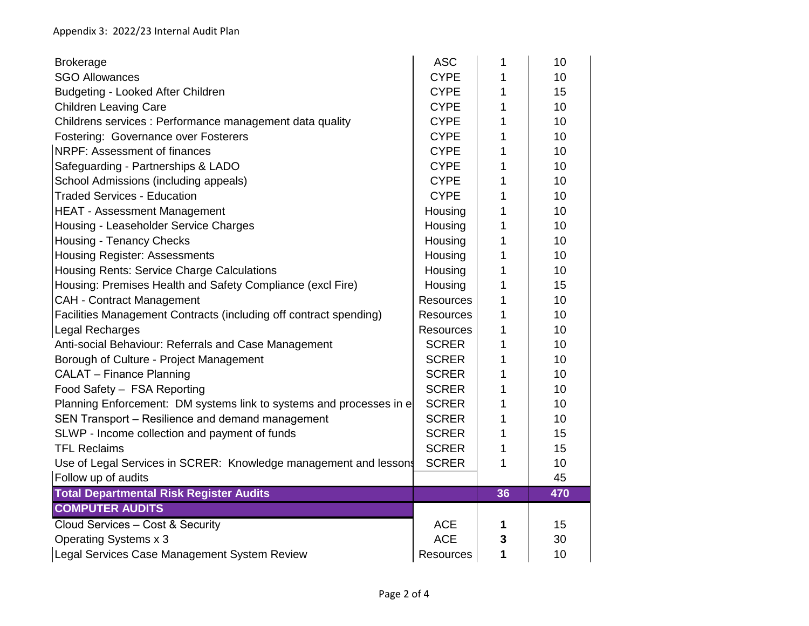| <b>Brokerage</b>                                                    | <b>ASC</b>       | 1  | 10  |
|---------------------------------------------------------------------|------------------|----|-----|
| <b>SGO Allowances</b>                                               | <b>CYPE</b>      | 1  | 10  |
| Budgeting - Looked After Children                                   | <b>CYPE</b>      | 1  | 15  |
| <b>Children Leaving Care</b>                                        | <b>CYPE</b>      | 1  | 10  |
| Childrens services : Performance management data quality            | <b>CYPE</b>      | 1  | 10  |
| Fostering: Governance over Fosterers                                | <b>CYPE</b>      | 1  | 10  |
| NRPF: Assessment of finances                                        | <b>CYPE</b>      | 1  | 10  |
| Safeguarding - Partnerships & LADO                                  | <b>CYPE</b>      | 1  | 10  |
| School Admissions (including appeals)                               | <b>CYPE</b>      | 1  | 10  |
| <b>Traded Services - Education</b>                                  | <b>CYPE</b>      | 1  | 10  |
| <b>HEAT - Assessment Management</b>                                 | Housing          | 1  | 10  |
| Housing - Leaseholder Service Charges                               | Housing          | 1  | 10  |
| <b>Housing - Tenancy Checks</b>                                     | Housing          | 1  | 10  |
| <b>Housing Register: Assessments</b>                                | Housing          | 1  | 10  |
| Housing Rents: Service Charge Calculations                          | Housing          | 1  | 10  |
| Housing: Premises Health and Safety Compliance (excl Fire)          | Housing          | 1  | 15  |
| <b>CAH - Contract Management</b>                                    | Resources        | 1  | 10  |
| Facilities Management Contracts (including off contract spending)   | <b>Resources</b> | 1  | 10  |
| Legal Recharges                                                     | <b>Resources</b> | 1  | 10  |
| Anti-social Behaviour: Referrals and Case Management                | <b>SCRER</b>     | 1  | 10  |
| Borough of Culture - Project Management                             | <b>SCRER</b>     | 1  | 10  |
| <b>CALAT - Finance Planning</b>                                     | <b>SCRER</b>     | 1  | 10  |
| Food Safety - FSA Reporting                                         | <b>SCRER</b>     | 1  | 10  |
| Planning Enforcement: DM systems link to systems and processes in e | <b>SCRER</b>     | 1  | 10  |
| SEN Transport - Resilience and demand management                    | <b>SCRER</b>     | 1  | 10  |
| SLWP - Income collection and payment of funds                       | <b>SCRER</b>     | 1  | 15  |
| <b>TFL Reclaims</b>                                                 | <b>SCRER</b>     | 1  | 15  |
| Use of Legal Services in SCRER: Knowledge management and lessons    | <b>SCRER</b>     | 1  | 10  |
| Follow up of audits                                                 |                  |    | 45  |
| <b>Total Departmental Risk Register Audits</b>                      |                  | 36 | 470 |
| <b>COMPUTER AUDITS</b>                                              |                  |    |     |
| Cloud Services - Cost & Security                                    | <b>ACE</b>       | 1  | 15  |
| Operating Systems x 3                                               | <b>ACE</b>       | 3  | 30  |
| Legal Services Case Management System Review                        | Resources        | 1  | 10  |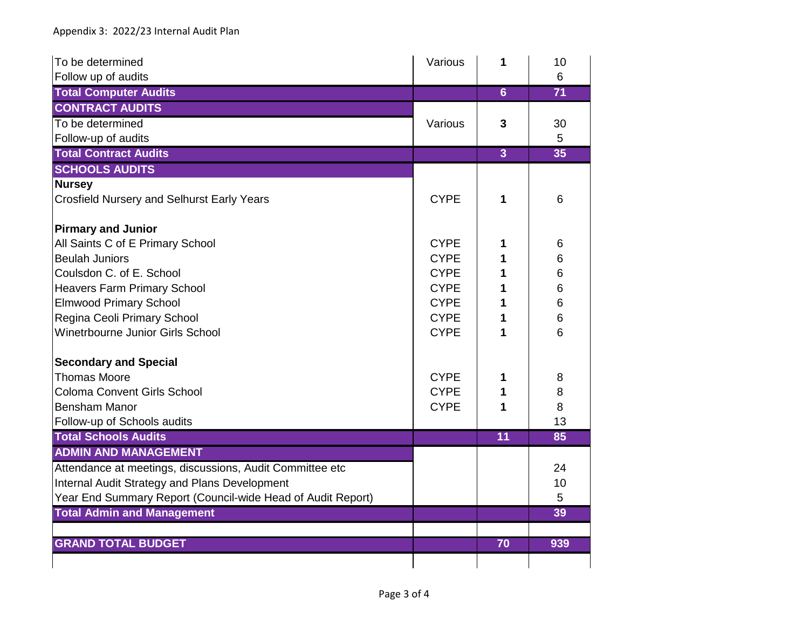| To be determined                                            | Various     | 1               | 10  |
|-------------------------------------------------------------|-------------|-----------------|-----|
| Follow up of audits                                         |             |                 | 6   |
| <b>Total Computer Audits</b>                                |             | $6\overline{6}$ | 71  |
| <b>CONTRACT AUDITS</b>                                      |             |                 |     |
| To be determined                                            | Various     | 3               | 30  |
| Follow-up of audits                                         |             |                 | 5   |
| <b>Total Contract Audits</b>                                |             | $\overline{3}$  | 35  |
| <b>SCHOOLS AUDITS</b>                                       |             |                 |     |
| <b>Nursey</b>                                               |             |                 |     |
| <b>Crosfield Nursery and Selhurst Early Years</b>           | <b>CYPE</b> | 1               | 6   |
|                                                             |             |                 |     |
| <b>Pirmary and Junior</b>                                   |             |                 |     |
| All Saints C of E Primary School                            | <b>CYPE</b> | 1               | 6   |
| <b>Beulah Juniors</b>                                       | <b>CYPE</b> | 1               | 6   |
| Coulsdon C. of E. School                                    | <b>CYPE</b> | 1               | 6   |
| <b>Heavers Farm Primary School</b>                          | <b>CYPE</b> | 1               | 6   |
| <b>Elmwood Primary School</b>                               | <b>CYPE</b> | 1               | 6   |
| Regina Ceoli Primary School                                 | <b>CYPE</b> | 1               | 6   |
| <b>Winetrbourne Junior Girls School</b>                     | <b>CYPE</b> | 1               | 6   |
| <b>Secondary and Special</b>                                |             |                 |     |
| <b>Thomas Moore</b>                                         | <b>CYPE</b> | 1               | 8   |
| <b>Coloma Convent Girls School</b>                          | <b>CYPE</b> | 1               | 8   |
| <b>Bensham Manor</b>                                        | <b>CYPE</b> | 1               | 8   |
| Follow-up of Schools audits                                 |             |                 | 13  |
| <b>Total Schools Audits</b>                                 |             | 11              | 85  |
| <b>ADMIN AND MANAGEMENT</b>                                 |             |                 |     |
| Attendance at meetings, discussions, Audit Committee etc    |             |                 | 24  |
| Internal Audit Strategy and Plans Development               |             |                 | 10  |
| Year End Summary Report (Council-wide Head of Audit Report) |             |                 | 5   |
| <b>Total Admin and Management</b>                           |             |                 | 39  |
|                                                             |             |                 |     |
| <b>GRAND TOTAL BUDGET</b>                                   |             | 70              | 939 |
|                                                             |             |                 |     |